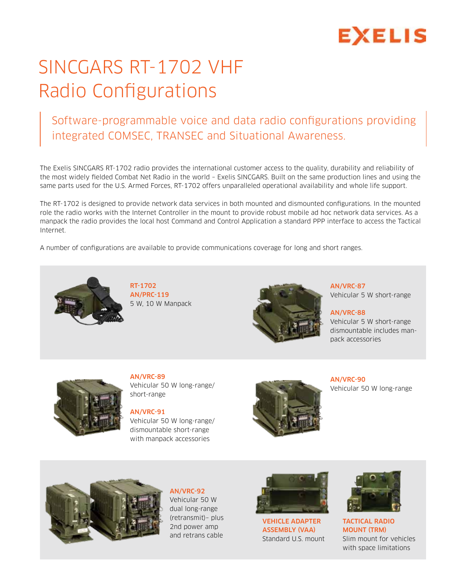# **EXELIS**

### SINCGARS RT-1702 VHF Radio Configurations

#### Software-programmable voice and data radio configurations providing integrated COMSEC, TRANSEC and Situational Awareness.

The Exelis SINCGARS RT-1702 radio provides the international customer access to the quality, durability and reliability of the most widely fielded Combat Net Radio in the world – Exelis SINCGARS. Built on the same production lines and using the same parts used for the U.S. Armed Forces, RT-1702 offers unparalleled operational availability and whole life support.

The RT-1702 is designed to provide network data services in both mounted and dismounted configurations. In the mounted role the radio works with the Internet Controller in the mount to provide robust mobile ad hoc network data services. As a manpack the radio provides the local host Command and Control Application a standard PPP interface to access the Tactical Internet.

A number of configurations are available to provide communications coverage for long and short ranges.



RT-1702 AN/PRC-119 5 W, 10 W Manpack



AN/VRC-87 Vehicular 5 W short-range

AN/VRC-88 Vehicular 5 W short-range dismountable includes manpack accessories



AN/VRC-89 Vehicular 50 W long-range/ short-range

AN/VRC-91 Vehicular 50 W long-range/ dismountable short-range with manpack accessories



AN/VRC-90 Vehicular 50 W long-range



AN/VRC-92 Vehicular 50 W dual long-range (retransmit)– plus 2nd power amp and retrans cable



Vehicle Adapter Assembly (VAA) Standard U.S. mount



Tactical Radio Mount (TRM) Slim mount for vehicles with space limitations